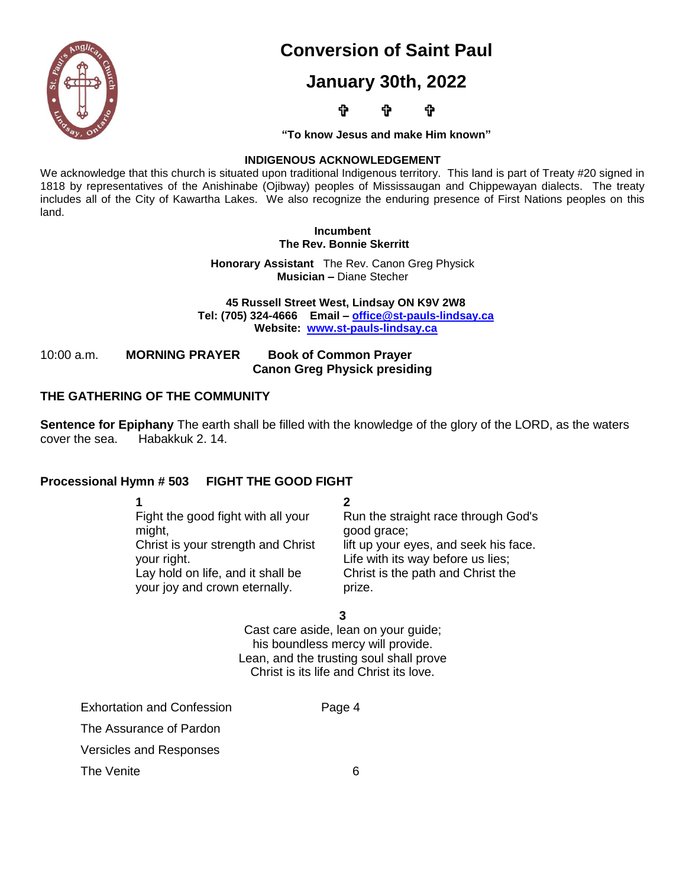

# **Conversion of Saint Paul**

# **January 30th, 2022**

**"To know Jesus and make Him known"**

#### **INDIGENOUS ACKNOWLEDGEMENT**

We acknowledge that this church is situated upon traditional Indigenous territory. This land is part of Treaty #20 signed in 1818 by representatives of the Anishinabe (Ojibway) peoples of Mississaugan and Chippewayan dialects. The treaty includes all of the City of Kawartha Lakes. We also recognize the enduring presence of First Nations peoples on this land.

# **Incumbent**

#### **The Rev. Bonnie Skerritt**

**Honorary Assistant** The Rev. Canon Greg Physick **Musician –** Diane Stecher

 **45 Russell Street West, Lindsay ON K9V 2W8 Tel: (705) 324-4666 Email – [office@st-pauls-lindsay.ca](mailto:office@st-pauls-lindsay.ca) Website: [www.st-pauls-lindsay.ca](http://www.st-pauls-lindsay.ca/)**

10:00 a.m. **MORNING PRAYER Book of Common Prayer Canon Greg Physick presiding**

# **THE GATHERING OF THE COMMUNITY**

**Sentence for Epiphany** The earth shall be filled with the knowledge of the glory of the LORD, as the waters cover the sea. Habakkuk 2. 14.

## **Processional Hymn # 503 FIGHT THE GOOD FIGHT**

| Fight the good fight with all your | Run the straight race through God's   |
|------------------------------------|---------------------------------------|
| might,                             | good grace;                           |
| Christ is your strength and Christ | lift up your eyes, and seek his face. |
| your right.                        | Life with its way before us lies;     |
| Lay hold on life, and it shall be  | Christ is the path and Christ the     |
| your joy and crown eternally.      | prize.                                |

**3**

Cast care aside, lean on your guide; his boundless mercy will provide. Lean, and the trusting soul shall prove Christ is its life and Christ its love.

| <b>Exhortation and Confession</b> | Page 4 |
|-----------------------------------|--------|
| The Assurance of Pardon           |        |
| <b>Versicles and Responses</b>    |        |
| The Venite                        | 6      |
|                                   |        |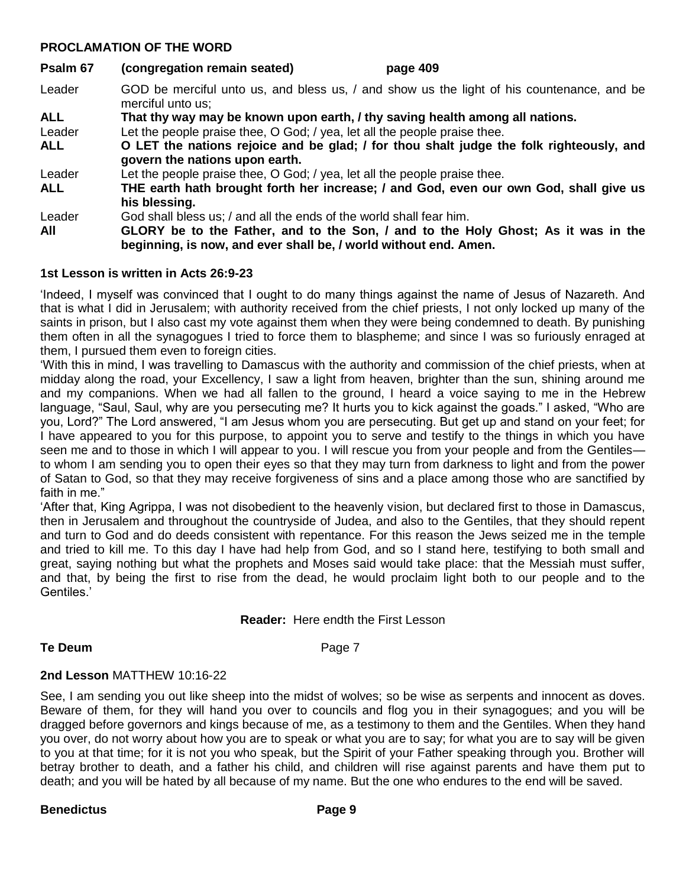#### **PROCLAMATION OF THE WORD**

| Psalm 67   | (congregation remain seated)                                                                                                                          | page 409                                                                                  |  |
|------------|-------------------------------------------------------------------------------------------------------------------------------------------------------|-------------------------------------------------------------------------------------------|--|
| Leader     | merciful unto us;                                                                                                                                     | GOD be merciful unto us, and bless us, / and show us the light of his countenance, and be |  |
| <b>ALL</b> | That thy way may be known upon earth, / thy saving health among all nations.                                                                          |                                                                                           |  |
| Leader     | Let the people praise thee, O God; / yea, let all the people praise thee.                                                                             |                                                                                           |  |
| <b>ALL</b> | O LET the nations rejoice and be glad; / for thou shalt judge the folk righteously, and<br>govern the nations upon earth.                             |                                                                                           |  |
| Leader     | Let the people praise thee, O God; / yea, let all the people praise thee.                                                                             |                                                                                           |  |
| <b>ALL</b> | THE earth hath brought forth her increase; / and God, even our own God, shall give us<br>his blessing.                                                |                                                                                           |  |
| Leader     | God shall bless us; / and all the ends of the world shall fear him.                                                                                   |                                                                                           |  |
| All        | GLORY be to the Father, and to the Son, / and to the Holy Ghost; As it was in the<br>beginning, is now, and ever shall be, / world without end. Amen. |                                                                                           |  |

#### **1st Lesson is written in Acts 26:9-23**

'Indeed, I myself was convinced that I ought to do many things against the name of Jesus of Nazareth. And that is what I did in Jerusalem; with authority received from the chief priests, I not only locked up many of the saints in prison, but I also cast my vote against them when they were being condemned to death. By punishing them often in all the synagogues I tried to force them to blaspheme; and since I was so furiously enraged at them, I pursued them even to foreign cities.

'With this in mind, I was travelling to Damascus with the authority and commission of the chief priests, when at midday along the road, your Excellency, I saw a light from heaven, brighter than the sun, shining around me and my companions. When we had all fallen to the ground, I heard a voice saying to me in the Hebrew language, "Saul, Saul, why are you persecuting me? It hurts you to kick against the goads." I asked, "Who are you, Lord?" The Lord answered, "I am Jesus whom you are persecuting. But get up and stand on your feet; for I have appeared to you for this purpose, to appoint you to serve and testify to the things in which you have seen me and to those in which I will appear to you. I will rescue you from your people and from the Gentiles to whom I am sending you to open their eyes so that they may turn from darkness to light and from the power of Satan to God, so that they may receive forgiveness of sins and a place among those who are sanctified by faith in me."

'After that, King Agrippa, I was not disobedient to the heavenly vision, but declared first to those in Damascus, then in Jerusalem and throughout the countryside of Judea, and also to the Gentiles, that they should repent and turn to God and do deeds consistent with repentance. For this reason the Jews seized me in the temple and tried to kill me. To this day I have had help from God, and so I stand here, testifying to both small and great, saying nothing but what the prophets and Moses said would take place: that the Messiah must suffer, and that, by being the first to rise from the dead, he would proclaim light both to our people and to the Gentiles.'

**Reader:** Here endth the First Lesson

#### **Te Deum** Page 7

#### **2nd Lesson** MATTHEW 10:16-22

See, I am sending you out like sheep into the midst of wolves; so be wise as serpents and innocent as doves. Beware of them, for they will hand you over to councils and flog you in their synagogues; and you will be dragged before governors and kings because of me, as a testimony to them and the Gentiles. When they hand you over, do not worry about how you are to speak or what you are to say; for what you are to say will be given to you at that time; for it is not you who speak, but the Spirit of your Father speaking through you. Brother will betray brother to death, and a father his child, and children will rise against parents and have them put to death; and you will be hated by all because of my name. But the one who endures to the end will be saved.

#### **Benedictus Page 9**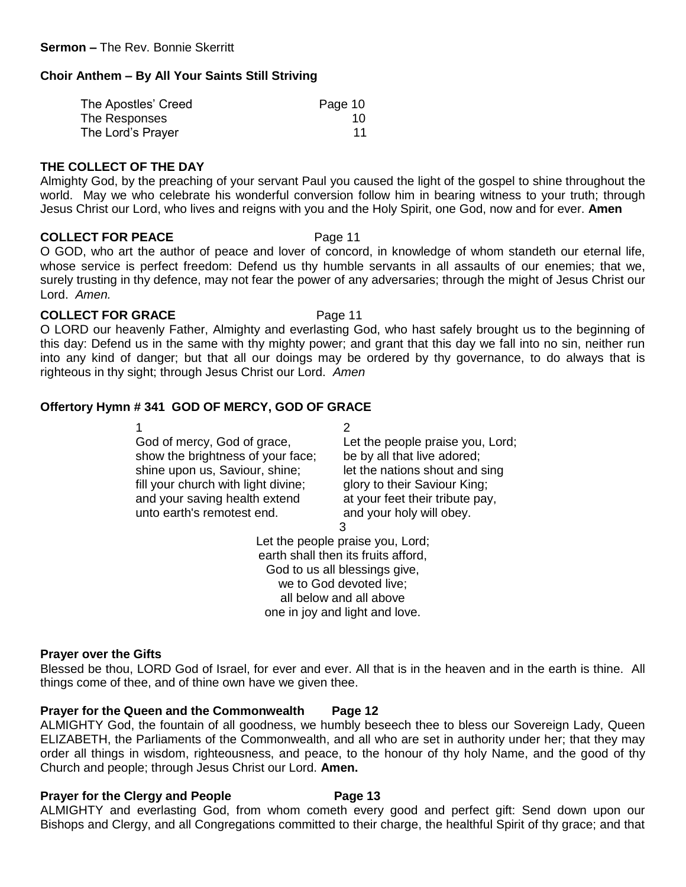### **Choir Anthem – By All Your Saints Still Striving**

| The Apostles' Creed | Page 10 |
|---------------------|---------|
| The Responses       | 10      |
| The Lord's Prayer   | 11      |

### **THE COLLECT OF THE DAY**

Almighty God, by the preaching of your servant Paul you caused the light of the gospel to shine throughout the world. May we who celebrate his wonderful conversion follow him in bearing witness to your truth; through Jesus Christ our Lord, who lives and reigns with you and the Holy Spirit, one God, now and for ever. **Amen**

#### **COLLECT FOR PEACE** Page 11

O GOD, who art the author of peace and lover of concord, in knowledge of whom standeth our eternal life, whose service is perfect freedom: Defend us thy humble servants in all assaults of our enemies; that we, surely trusting in thy defence, may not fear the power of any adversaries; through the might of Jesus Christ our Lord. *Amen.*

#### **COLLECT FOR GRACE** Page 11

O LORD our heavenly Father, Almighty and everlasting God, who hast safely brought us to the beginning of this day: Defend us in the same with thy mighty power; and grant that this day we fall into no sin, neither run into any kind of danger; but that all our doings may be ordered by thy governance, to do always that is righteous in thy sight; through Jesus Christ our Lord. *Amen*

## **Offertory Hymn # 341 GOD OF MERCY, GOD OF GRACE**

| God of mercy, God of grace,                                                                                                                                                                                                           | Let the people praise you, Lord; |  |  |
|---------------------------------------------------------------------------------------------------------------------------------------------------------------------------------------------------------------------------------------|----------------------------------|--|--|
| show the brightness of your face;                                                                                                                                                                                                     | be by all that live adored;      |  |  |
| shine upon us, Saviour, shine;                                                                                                                                                                                                        | let the nations shout and sing   |  |  |
| fill your church with light divine;                                                                                                                                                                                                   | glory to their Saviour King;     |  |  |
| and your saving health extend                                                                                                                                                                                                         | at your feet their tribute pay,  |  |  |
| unto earth's remotest end.                                                                                                                                                                                                            | and your holy will obey.         |  |  |
| 3<br>$\mathbf{1}$ , and the set of the set of the set of the set of the set of the set of the set of the set of the set of the set of the set of the set of the set of the set of the set of the set of the set of the set of the set |                                  |  |  |

Let the people praise you, Lord; earth shall then its fruits afford, God to us all blessings give, we to God devoted live; all below and all above one in joy and light and love.

#### **Prayer over the Gifts**

Blessed be thou, LORD God of Israel, for ever and ever. All that is in the heaven and in the earth is thine. All things come of thee, and of thine own have we given thee.

### **Prayer for the Queen and the Commonwealth Page 12**

ALMIGHTY God, the fountain of all goodness, we humbly beseech thee to bless our Sovereign Lady, Queen ELIZABETH, the Parliaments of the Commonwealth, and all who are set in authority under her; that they may order all things in wisdom, righteousness, and peace, to the honour of thy holy Name, and the good of thy Church and people; through Jesus Christ our Lord. **Amen.**

#### **Prayer for the Clergy and People Page 13**

ALMIGHTY and everlasting God, from whom cometh every good and perfect gift: Send down upon our Bishops and Clergy, and all Congregations committed to their charge, the healthful Spirit of thy grace; and that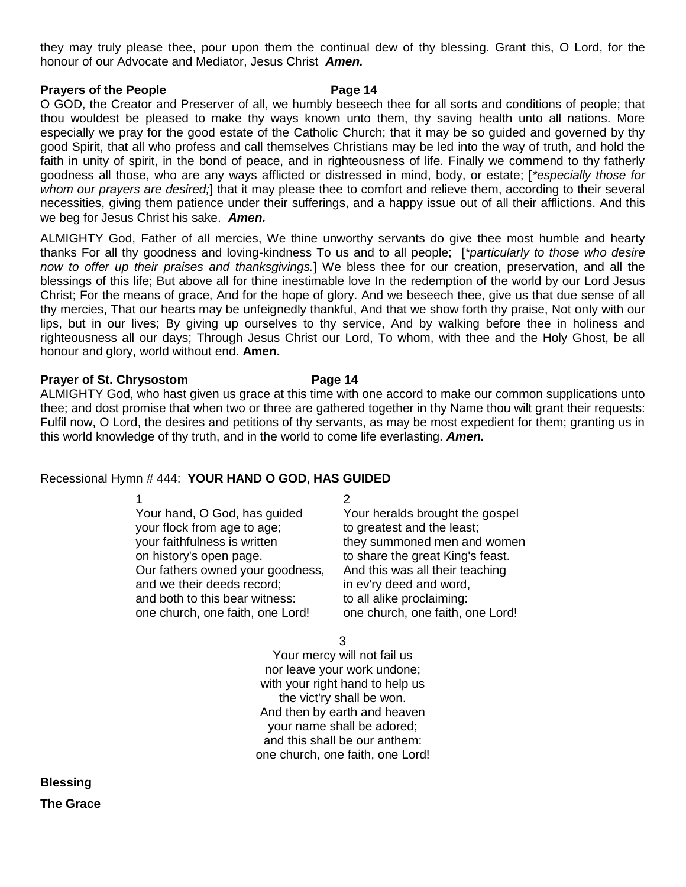they may truly please thee, pour upon them the continual dew of thy blessing. Grant this, O Lord, for the honour of our Advocate and Mediator, Jesus Christ *Amen.*

#### **Prayers of the People Page 14**

O GOD, the Creator and Preserver of all, we humbly beseech thee for all sorts and conditions of people; that thou wouldest be pleased to make thy ways known unto them, thy saving health unto all nations. More especially we pray for the good estate of the Catholic Church; that it may be so guided and governed by thy good Spirit, that all who profess and call themselves Christians may be led into the way of truth, and hold the faith in unity of spirit, in the bond of peace, and in righteousness of life. Finally we commend to thy fatherly goodness all those, who are any ways afflicted or distressed in mind, body, or estate; [*\*especially those for whom our prayers are desired;*] that it may please thee to comfort and relieve them, according to their several necessities, giving them patience under their sufferings, and a happy issue out of all their afflictions. And this we beg for Jesus Christ his sake. *Amen.*

ALMIGHTY God, Father of all mercies, We thine unworthy servants do give thee most humble and hearty thanks For all thy goodness and loving-kindness To us and to all people; [*\*particularly to those who desire now to offer up their praises and thanksgivings.*] We bless thee for our creation, preservation, and all the blessings of this life; But above all for thine inestimable love In the redemption of the world by our Lord Jesus Christ; For the means of grace, And for the hope of glory. And we beseech thee, give us that due sense of all thy mercies, That our hearts may be unfeignedly thankful, And that we show forth thy praise, Not only with our lips, but in our lives; By giving up ourselves to thy service, And by walking before thee in holiness and righteousness all our days; Through Jesus Christ our Lord, To whom, with thee and the Holy Ghost, be all honour and glory, world without end. **Amen.**

#### **Prayer of St. Chrysostom Page 14**

ALMIGHTY God, who hast given us grace at this time with one accord to make our common supplications unto thee; and dost promise that when two or three are gathered together in thy Name thou wilt grant their requests: Fulfil now, O Lord, the desires and petitions of thy servants, as may be most expedient for them; granting us in this world knowledge of thy truth, and in the world to come life everlasting. *Amen.*

#### Recessional Hymn # 444: **YOUR HAND O GOD, HAS GUIDED**

| Your hand, O God, has guided     | Your heralds   |
|----------------------------------|----------------|
| your flock from age to age;      | to greatest a  |
| your faithfulness is written     | they summo     |
| on history's open page.          | to share the   |
| Our fathers owned your goodness, | And this was   |
| and we their deeds record;       | in ev'ry deed  |
| and both to this bear witness:   | to all alike p |
| one church, one faith, one Lord! | one church,    |

2

s brought the gospel and the least: ned men and women areat King's feast. s all their teaching d and word, roclaiming: one faith, one Lord!

3

Your mercy will not fail us nor leave your work undone; with your right hand to help us the vict'ry shall be won. And then by earth and heaven your name shall be adored; and this shall be our anthem: one church, one faith, one Lord!

**Blessing The Grace**